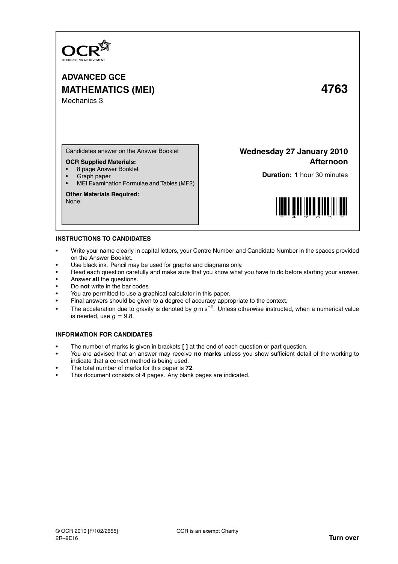

# **ADVANCED GCE MATHEMATICS (MEI) 4763** Mechanics 3

Candidates answer on the Answer Booklet

## **OCR Supplied Materials:**

- 8 page Answer Booklet
- Graph paper
- MEI Examination Formulae and Tables (MF2)

### **Other Materials Required:**

None

## **Wednesday 27 January 2010 Afternoon**

**Duration:** 1 hour 30 minutes



## **INSTRUCTIONS TO CANDIDATES**

- Write your name clearly in capital letters, your Centre Number and Candidate Number in the spaces provided on the Answer Booklet.
- Use black ink. Pencil may be used for graphs and diagrams only.
- Read each question carefully and make sure that you know what you have to do before starting your answer.
- Answer **all** the questions.
- Do **not** write in the bar codes.
- You are permitted to use a graphical calculator in this paper.
- Final answers should be given to a degree of accuracy appropriate to the context.
- The acceleration due to gravity is denoted by  $g$  m s<sup>-2</sup>. Unless otherwise instructed, when a numerical value is needed, use  $q = 9.8$ .

## **INFORMATION FOR CANDIDATES**

- The number of marks is given in brackets **[ ]** at the end of each question or part question.
- You are advised that an answer may receive **no marks** unless you show sufficient detail of the working to indicate that a correct method is being used.
- The total number of marks for this paper is **72**.
- This document consists of **4** pages. Any blank pages are indicated.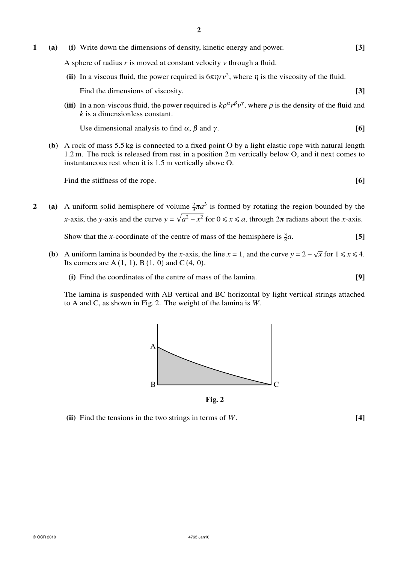- **1 (a) (i)** Write down the dimensions of density, kinetic energy and power. **[3]** A sphere of radius *r* is moved at constant velocity *v* through a fluid. (ii) In a viscous fluid, the power required is  $6\pi\eta r v^2$ , where  $\eta$  is the viscosity of the fluid. Find the dimensions of viscosity. **[3]** [3]
	- (iii) In a non-viscous fluid, the power required is  $k\rho^{\alpha}r^{\beta}v^{\gamma}$ , where  $\rho$  is the density of the fluid and *k* is a dimensionless constant.

Use dimensional analysis to find  $\alpha$ ,  $\beta$  and  $\gamma$ . **[6]** 

**(b)** A rock of mass 5.5 kg is connected to a fixed point O by a light elastic rope with natural length 1.2 m. The rock is released from rest in a position 2 m vertically below O, and it next comes to instantaneous rest when it is 1.5 m vertically above O.

Find the stiffness of the rope. **[6] [6]** 

**2** (a) A uniform solid hemisphere of volume  $\frac{2}{3}\pi a^3$  is formed by rotating the region bounded by the *x*-axis, the *y*-axis and the curve  $y = \sqrt{a^2 - x^2}$  for  $0 \le x \le a$ , through  $2\pi$  radians about the *x*-axis.

Show that the *x*-coordinate of the centre of mass of the hemisphere is  $\frac{3}{8}$ *a*. **[5]**

- **(b)** A uniform lamina is bounded by the *x*-axis, the line  $x = 1$ , and the curve  $y = 2 \sqrt{x}$  for  $1 \le x \le 4$ . Its corners are  $A(1, 1), B(1, 0)$  and  $C(4, 0)$ .
	- **(i)** Find the coordinates of the centre of mass of the lamina. **[9]**

The lamina is suspended with AB vertical and BC horizontal by light vertical strings attached to A and C, as shown in Fig. 2. The weight of the lamina is *W*.



**Fig. 2**

**(ii)** Find the tensions in the two strings in terms of *W*. **[4]**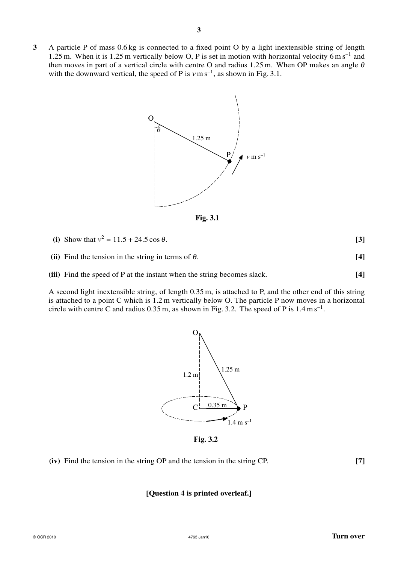**3** A particle P of mass 0.6 kg is connected to a fixed point O by a light inextensible string of length 1.25 m. When it is 1.25 m vertically below O, P is set in motion with horizontal velocity 6 m s<sup>-1</sup> and then moves in part of a vertical circle with centre O and radius 1.25 m. When OP makes an angle  $\theta$ with the downward vertical, the speed of P is  $v \text{ m s}^{-1}$ , as shown in Fig. 3.1.



**Fig. 3.1**

| (i) Show that $v^2 = 11.5 + 24.5 \cos \theta$ . |  |
|-------------------------------------------------|--|
|-------------------------------------------------|--|

**(ii)** Find the tension in the string in terms of  $\theta$ . [4]

**(iii)** Find the speed of P at the instant when the string becomes slack. **[4]**

A second light inextensible string, of length 0.35 m, is attached to P, and the other end of this string is attached to a point C which is 1.2 m vertically below O. The particle P now moves in a horizontal circle with centre C and radius  $0.35$  m, as shown in Fig. 3.2. The speed of P is  $1.4 \text{ m s}^{-1}$ .



**Fig. 3.2**

**(iv)** Find the tension in the string OP and the tension in the string CP. **[7]**

## **[Question 4 is printed overleaf.]**